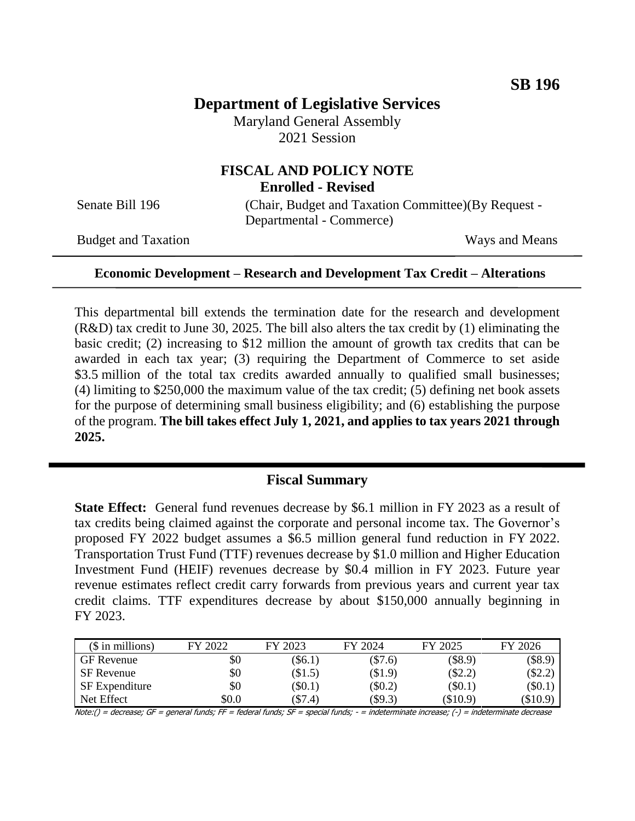# **Department of Legislative Services**

Maryland General Assembly 2021 Session

### **FISCAL AND POLICY NOTE Enrolled - Revised**

Senate Bill 196 (Chair, Budget and Taxation Committee)(By Request -Departmental - Commerce)

Budget and Taxation Ways and Means

#### **Economic Development – Research and Development Tax Credit – Alterations**

This departmental bill extends the termination date for the research and development (R&D) tax credit to June 30, 2025. The bill also alters the tax credit by (1) eliminating the basic credit; (2) increasing to \$12 million the amount of growth tax credits that can be awarded in each tax year; (3) requiring the Department of Commerce to set aside \$3.5 million of the total tax credits awarded annually to qualified small businesses; (4) limiting to \$250,000 the maximum value of the tax credit; (5) defining net book assets for the purpose of determining small business eligibility; and (6) establishing the purpose of the program. **The bill takes effect July 1, 2021, and applies to tax years 2021 through 2025.**

## **Fiscal Summary**

**State Effect:** General fund revenues decrease by \$6.1 million in FY 2023 as a result of tax credits being claimed against the corporate and personal income tax. The Governor's proposed FY 2022 budget assumes a \$6.5 million general fund reduction in FY 2022. Transportation Trust Fund (TTF) revenues decrease by \$1.0 million and Higher Education Investment Fund (HEIF) revenues decrease by \$0.4 million in FY 2023. Future year revenue estimates reflect credit carry forwards from previous years and current year tax credit claims. TTF expenditures decrease by about \$150,000 annually beginning in FY 2023.

| $$$ in millions)      | FY 2022 | FY 2023  | FY 2024  | FY 2025    | FY 2026    |
|-----------------------|---------|----------|----------|------------|------------|
| <b>GF</b> Revenue     | \$0     | $\$6.1)$ | \$7.6)   | $(\$8.9)$  | $(\$8.9)$  |
| SF Revenue            | \$0     | \$1.5)   | $\$1.9)$ | $(\$2.2)$  | \$2.2)     |
| <b>SF</b> Expenditure | \$0     | $\$0.1)$ | \$0.2)   | $(\$0.1)$  | $(\$0.1]$  |
| Net Effect            | \$0.0   | \$7.4)   | \$9.3)   | $(\$10.9)$ | $(\$10.9)$ |

Note:() = decrease; GF = general funds; FF = federal funds; SF = special funds; - = indeterminate increase; (-) = indeterminate decrease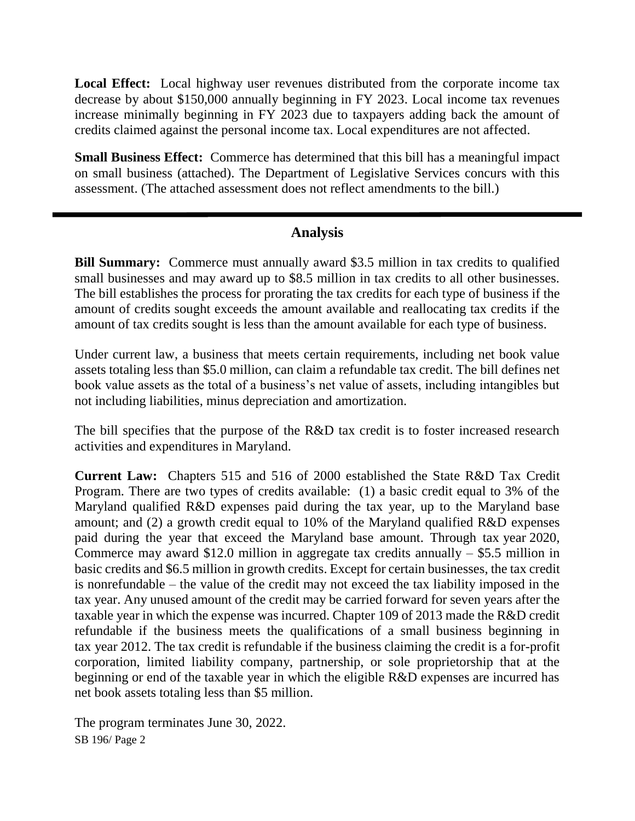**Local Effect:** Local highway user revenues distributed from the corporate income tax decrease by about \$150,000 annually beginning in FY 2023. Local income tax revenues increase minimally beginning in FY 2023 due to taxpayers adding back the amount of credits claimed against the personal income tax. Local expenditures are not affected.

**Small Business Effect:** Commerce has determined that this bill has a meaningful impact on small business (attached). The Department of Legislative Services concurs with this assessment. (The attached assessment does not reflect amendments to the bill.)

## **Analysis**

**Bill Summary:** Commerce must annually award \$3.5 million in tax credits to qualified small businesses and may award up to \$8.5 million in tax credits to all other businesses. The bill establishes the process for prorating the tax credits for each type of business if the amount of credits sought exceeds the amount available and reallocating tax credits if the amount of tax credits sought is less than the amount available for each type of business.

Under current law, a business that meets certain requirements, including net book value assets totaling less than \$5.0 million, can claim a refundable tax credit. The bill defines net book value assets as the total of a business's net value of assets, including intangibles but not including liabilities, minus depreciation and amortization.

The bill specifies that the purpose of the R&D tax credit is to foster increased research activities and expenditures in Maryland.

**Current Law:** Chapters 515 and 516 of 2000 established the State R&D Tax Credit Program. There are two types of credits available: (1) a basic credit equal to 3% of the Maryland qualified R&D expenses paid during the tax year, up to the Maryland base amount; and (2) a growth credit equal to 10% of the Maryland qualified R&D expenses paid during the year that exceed the Maryland base amount. Through tax year 2020, Commerce may award \$12.0 million in aggregate tax credits annually  $-$  \$5.5 million in basic credits and \$6.5 million in growth credits. Except for certain businesses, the tax credit is nonrefundable – the value of the credit may not exceed the tax liability imposed in the tax year. Any unused amount of the credit may be carried forward for seven years after the taxable year in which the expense was incurred. Chapter 109 of 2013 made the R&D credit refundable if the business meets the qualifications of a small business beginning in tax year 2012. The tax credit is refundable if the business claiming the credit is a for-profit corporation, limited liability company, partnership, or sole proprietorship that at the beginning or end of the taxable year in which the eligible R&D expenses are incurred has net book assets totaling less than \$5 million.

SB 196/ Page 2 The program terminates June 30, 2022.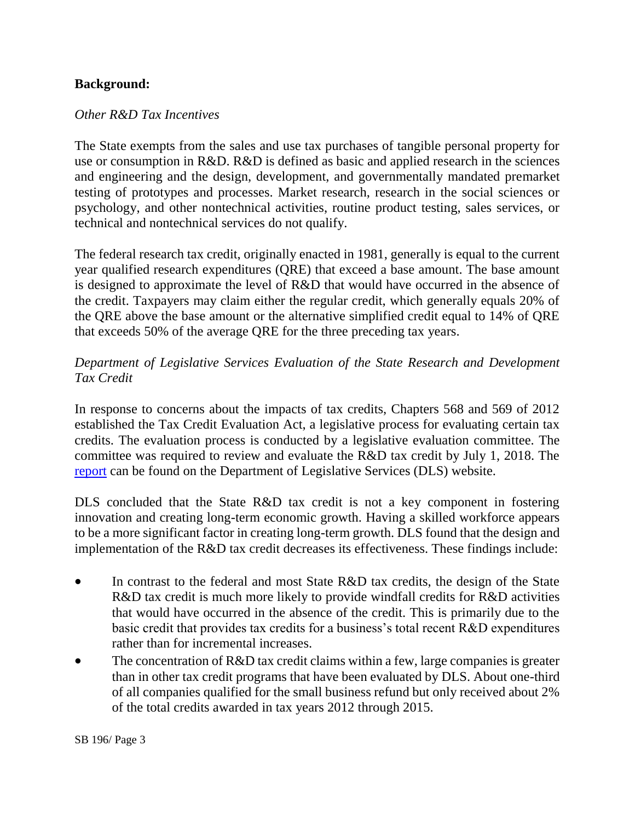## **Background:**

#### *Other R&D Tax Incentives*

The State exempts from the sales and use tax purchases of tangible personal property for use or consumption in R&D. R&D is defined as basic and applied research in the sciences and engineering and the design, development, and governmentally mandated premarket testing of prototypes and processes. Market research, research in the social sciences or psychology, and other nontechnical activities, routine product testing, sales services, or technical and nontechnical services do not qualify.

The federal research tax credit, originally enacted in 1981, generally is equal to the current year qualified research expenditures (QRE) that exceed a base amount. The base amount is designed to approximate the level of R&D that would have occurred in the absence of the credit. Taxpayers may claim either the regular credit, which generally equals 20% of the QRE above the base amount or the alternative simplified credit equal to 14% of QRE that exceeds 50% of the average QRE for the three preceding tax years.

## *Department of Legislative Services Evaluation of the State Research and Development Tax Credit*

In response to concerns about the impacts of tax credits, Chapters 568 and 569 of 2012 established the Tax Credit Evaluation Act, a legislative process for evaluating certain tax credits. The evaluation process is conducted by a legislative evaluation committee. The committee was required to review and evaluate the R&D tax credit by July 1, 2018. The [report](http://dls.maryland.gov/pubs/prod/TaxFiscalPlan/Evaluation-of-the-Research-and-Development-Tax-Credit.pdf) can be found on the Department of Legislative Services (DLS) website.

DLS concluded that the State R&D tax credit is not a key component in fostering innovation and creating long-term economic growth. Having a skilled workforce appears to be a more significant factor in creating long-term growth. DLS found that the design and implementation of the R&D tax credit decreases its effectiveness. These findings include:

- In contrast to the federal and most State R&D tax credits, the design of the State R&D tax credit is much more likely to provide windfall credits for R&D activities that would have occurred in the absence of the credit. This is primarily due to the basic credit that provides tax credits for a business's total recent R&D expenditures rather than for incremental increases.
- The concentration of R&D tax credit claims within a few, large companies is greater than in other tax credit programs that have been evaluated by DLS. About one-third of all companies qualified for the small business refund but only received about 2% of the total credits awarded in tax years 2012 through 2015.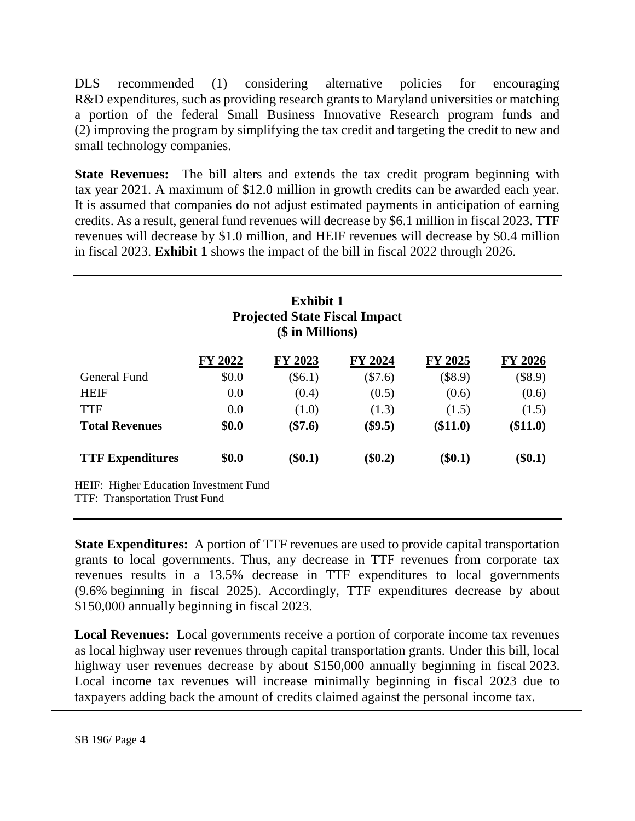DLS recommended (1) considering alternative policies for encouraging R&D expenditures, such as providing research grants to Maryland universities or matching a portion of the federal Small Business Innovative Research program funds and (2) improving the program by simplifying the tax credit and targeting the credit to new and small technology companies.

**State Revenues:** The bill alters and extends the tax credit program beginning with tax year 2021. A maximum of \$12.0 million in growth credits can be awarded each year. It is assumed that companies do not adjust estimated payments in anticipation of earning credits. As a result, general fund revenues will decrease by \$6.1 million in fiscal 2023. TTF revenues will decrease by \$1.0 million, and HEIF revenues will decrease by \$0.4 million in fiscal 2023. **Exhibit 1** shows the impact of the bill in fiscal 2022 through 2026.

|                                                                          |         | <b>Exhibit 1</b><br><b>Projected State Fiscal Impact</b><br>(\$ in Millions) |           |           |           |
|--------------------------------------------------------------------------|---------|------------------------------------------------------------------------------|-----------|-----------|-----------|
|                                                                          | FY 2022 | FY 2023                                                                      | FY 2024   | FY 2025   | FY 2026   |
| General Fund                                                             | \$0.0   | $(\$6.1)$                                                                    | $(\$7.6)$ | (\$8.9)   | $(\$8.9)$ |
| <b>HEIF</b>                                                              | 0.0     | (0.4)                                                                        | (0.5)     | (0.6)     | (0.6)     |
| TTF                                                                      | 0.0     | (1.0)                                                                        | (1.3)     | (1.5)     | (1.5)     |
| <b>Total Revenues</b>                                                    | \$0.0   | $(\$7.6)$                                                                    | $(\$9.5)$ | (\$11.0)  | (\$11.0)  |
| <b>TTF Expenditures</b>                                                  | \$0.0   | $(\$0.1)$                                                                    | $(\$0.2)$ | $(\$0.1)$ | $(\$0.1)$ |
| HEIF: Higher Education Investment Fund<br>TTF: Transportation Trust Fund |         |                                                                              |           |           |           |

**State Expenditures:** A portion of TTF revenues are used to provide capital transportation grants to local governments. Thus, any decrease in TTF revenues from corporate tax revenues results in a 13.5% decrease in TTF expenditures to local governments (9.6% beginning in fiscal 2025). Accordingly, TTF expenditures decrease by about \$150,000 annually beginning in fiscal 2023.

**Local Revenues:** Local governments receive a portion of corporate income tax revenues as local highway user revenues through capital transportation grants. Under this bill, local highway user revenues decrease by about \$150,000 annually beginning in fiscal 2023. Local income tax revenues will increase minimally beginning in fiscal 2023 due to taxpayers adding back the amount of credits claimed against the personal income tax.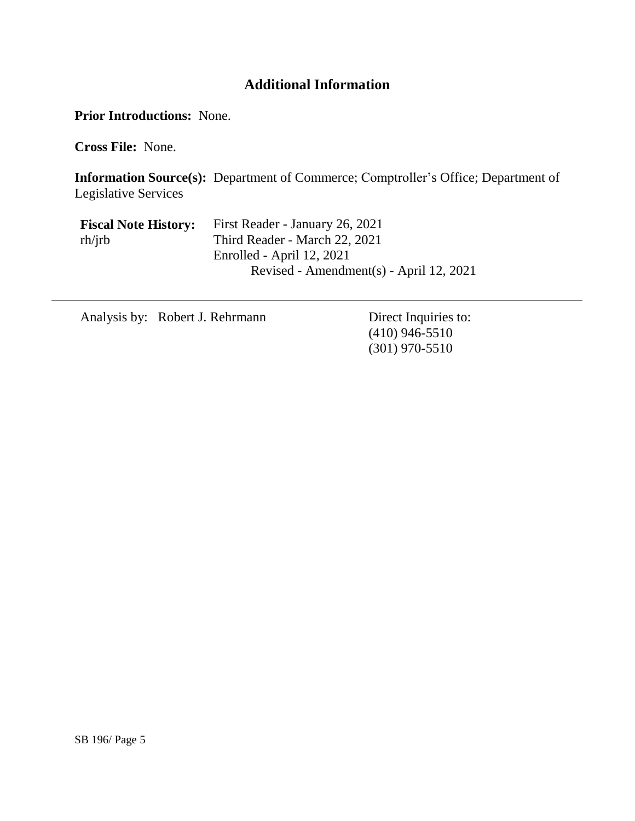# **Additional Information**

**Prior Introductions:** None.

**Cross File:** None.

**Information Source(s):** Department of Commerce; Comptroller's Office; Department of Legislative Services

| <b>Fiscal Note History:</b> | First Reader - January 26, 2021         |
|-----------------------------|-----------------------------------------|
| rh/irb                      | Third Reader - March 22, 2021           |
|                             | Enrolled - April 12, 2021               |
|                             | Revised - Amendment(s) - April 12, 2021 |

Analysis by: Robert J. Rehrmann Direct Inquiries to:

(410) 946-5510 (301) 970-5510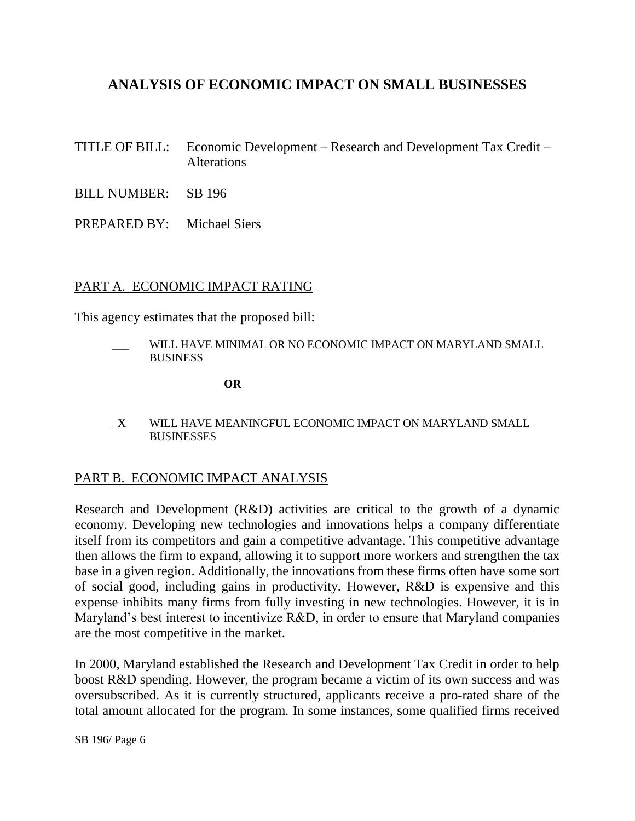# **ANALYSIS OF ECONOMIC IMPACT ON SMALL BUSINESSES**

- TITLE OF BILL: Economic Development Research and Development Tax Credit Alterations
- BILL NUMBER: SB 196
- PREPARED BY: Michael Siers

### PART A. ECONOMIC IMPACT RATING

This agency estimates that the proposed bill:

WILL HAVE MINIMAL OR NO ECONOMIC IMPACT ON MARYLAND SMALL **BUSINESS** 

**OR**

 X WILL HAVE MEANINGFUL ECONOMIC IMPACT ON MARYLAND SMALL **BUSINESSES** 

### PART B. ECONOMIC IMPACT ANALYSIS

Research and Development (R&D) activities are critical to the growth of a dynamic economy. Developing new technologies and innovations helps a company differentiate itself from its competitors and gain a competitive advantage. This competitive advantage then allows the firm to expand, allowing it to support more workers and strengthen the tax base in a given region. Additionally, the innovations from these firms often have some sort of social good, including gains in productivity. However, R&D is expensive and this expense inhibits many firms from fully investing in new technologies. However, it is in Maryland's best interest to incentivize R&D, in order to ensure that Maryland companies are the most competitive in the market.

In 2000, Maryland established the Research and Development Tax Credit in order to help boost R&D spending. However, the program became a victim of its own success and was oversubscribed. As it is currently structured, applicants receive a pro-rated share of the total amount allocated for the program. In some instances, some qualified firms received